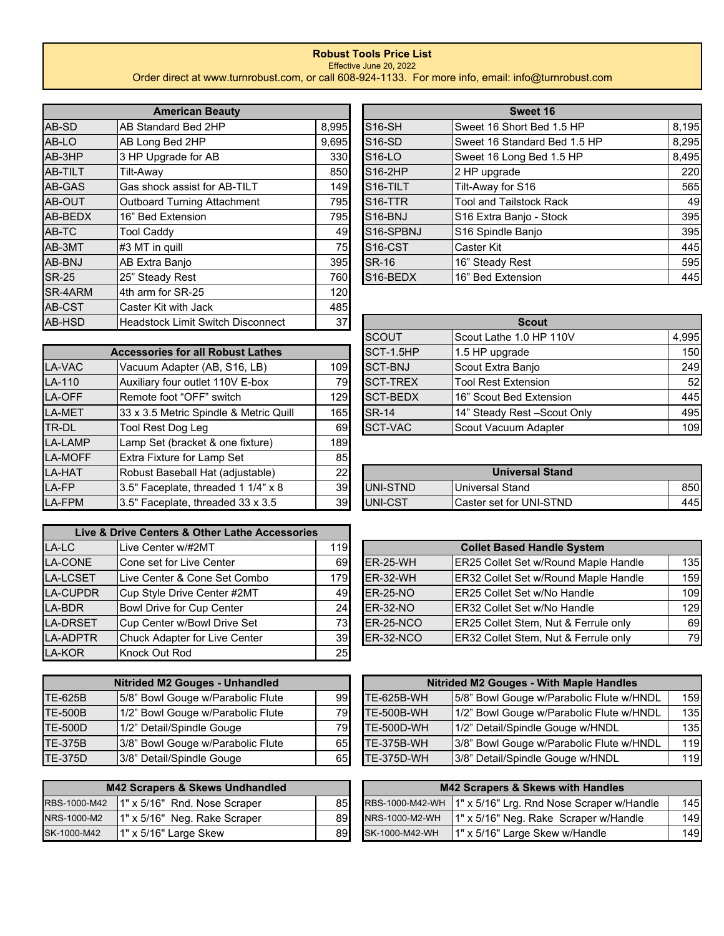## **Robust Tools Price List**

Effective June 20, 2022

Order direct at www.turnrobust.com, or call 608-924-1133. For more info, email: info@turnrobust.com

|                              | <b>American Beauty</b>                   |       |  |  |  |  |
|------------------------------|------------------------------------------|-------|--|--|--|--|
| AB-SD                        | AB Standard Bed 2HP                      | 8,995 |  |  |  |  |
| AB-LO                        | AB Long Bed 2HP                          |       |  |  |  |  |
| AB-3HP                       | 3 HP Upgrade for AB                      | 330   |  |  |  |  |
| AB-TILT                      | Tilt-Away                                | 850   |  |  |  |  |
| AB-GAS                       | Gas shock assist for AB-TILT             | 149   |  |  |  |  |
| AB-OUT                       | <b>Outboard Turning Attachment</b>       | 795   |  |  |  |  |
| AB-BEDX<br>16" Bed Extension |                                          |       |  |  |  |  |
| AB-TC                        | <b>Tool Caddy</b>                        |       |  |  |  |  |
| AB-3MT                       | #3 MT in quill                           |       |  |  |  |  |
| AB-BNJ                       | AB Extra Banjo                           | 395   |  |  |  |  |
| <b>SR-25</b>                 | 25" Steady Rest                          | 760   |  |  |  |  |
| SR-4ARM                      | 4th arm for SR-25                        | 120   |  |  |  |  |
| AB-CST                       | Caster Kit with Jack                     | 485   |  |  |  |  |
| <b>AB-HSD</b>                | <b>Headstock Limit Switch Disconnect</b> | 37    |  |  |  |  |

|                | <b>Accessories for all Robust Lathes</b> |     |
|----------------|------------------------------------------|-----|
| <b>LA-VAC</b>  | Vacuum Adapter (AB, S16, LB)             | 109 |
| LA-110         | Auxiliary four outlet 110V E-box         | 79  |
| LA-OFF         | Remote foot "OFF" switch                 | 129 |
| LA-MET         | 33 x 3.5 Metric Spindle & Metric Quill   | 165 |
| TR-DL          | <b>Tool Rest Dog Leg</b>                 | 69  |
| <b>LA-LAMP</b> | Lamp Set (bracket & one fixture)         | 189 |
| <b>LA-MOFF</b> | Extra Fixture for Lamp Set               | 85  |
| <b>LA-HAT</b>  | Robust Baseball Hat (adjustable)         | 22  |
| LA-FP          | 3.5" Faceplate, threaded 1 1/4" x 8      | 39  |
| <b>LA-FPM</b>  | 3.5" Faceplate, threaded 33 x 3.5        | 39  |

|                 | Live & Drive Centers & Other Lathe Accessories |     |  |  |  |  |  |
|-----------------|------------------------------------------------|-----|--|--|--|--|--|
| LA-LC           | Live Center w/#2MT                             |     |  |  |  |  |  |
| LA-CONE         | Cone set for Live Center                       |     |  |  |  |  |  |
| LA-LCSET        | Live Center & Cone Set Combo                   | 179 |  |  |  |  |  |
| <b>LA-CUPDR</b> | Cup Style Drive Center #2MT                    | 49  |  |  |  |  |  |
| LA-BDR          | <b>Bowl Drive for Cup Center</b>               | 24  |  |  |  |  |  |
| <b>LA-DRSET</b> | Cup Center w/Bowl Drive Set                    | 73  |  |  |  |  |  |
| <b>LA-ADPTR</b> | Chuck Adapter for Live Center                  | 39  |  |  |  |  |  |
| LA-KOR          | Knock Out Rod                                  | 25  |  |  |  |  |  |

| <b>Nitrided M2 Gouges - Unhandled</b> |                                   |    |  |  |  |  |
|---------------------------------------|-----------------------------------|----|--|--|--|--|
| <b>TE-625B</b>                        | 5/8" Bowl Gouge w/Parabolic Flute | 99 |  |  |  |  |
| <b>TE-500B</b>                        | 1/2" Bowl Gouge w/Parabolic Flute | 79 |  |  |  |  |
| <b>TE-500D</b>                        | 1/2" Detail/Spindle Gouge         | 79 |  |  |  |  |
| TE-375B                               | 3/8" Bowl Gouge w/Parabolic Flute | 65 |  |  |  |  |
| TE-375D                               | 3/8" Detail/Spindle Gouge         | 65 |  |  |  |  |

| <b>M42 Scrapers &amp; Skews Undhandled</b> |                              |    |  |  |  |  |  |
|--------------------------------------------|------------------------------|----|--|--|--|--|--|
| RBS-1000-M42                               | 1" x 5/16" Rnd. Nose Scraper | 85 |  |  |  |  |  |
| NRS-1000-M2                                | 1" x 5/16" Neg. Rake Scraper | 89 |  |  |  |  |  |
| SK-1000-M42                                | 1" x 5/16" Large Skew        | 89 |  |  |  |  |  |

| <b>American Beauty</b> |                              |       | Sweet 16              |                                |       |  |  |
|------------------------|------------------------------|-------|-----------------------|--------------------------------|-------|--|--|
| AB-SD                  | IAB Standard Bed 2HP         | 8,995 | <b>S16-SH</b>         | lSweet 16 Short Bed 1.5 HP     | 8,195 |  |  |
| AB-LO                  | AB Long Bed 2HP              | 9,695 | S <sub>16</sub> -SD   | Sweet 16 Standard Bed 1.5 HP   | 8,295 |  |  |
| AB-3HP                 | 3 HP Upgrade for AB          | 330   | $S16-LO$              | Sweet 16 Long Bed 1.5 HP       | 8,495 |  |  |
| AB-TILT                | Tilt-Away                    | 850   | $S16-2HP$             | 2 HP upgrade                   | 220   |  |  |
| AB-GAS                 | Gas shock assist for AB-TILT | 149   | S <sub>16</sub> -TILT | Tilt-Away for S16              | 565   |  |  |
| AB-OUT                 | Outboard Turning Attachment  | 795   | S <sub>16</sub> -TTR  | <b>Tool and Tailstock Rack</b> | 49    |  |  |
| AB-BEDX                | 16" Bed Extension            | 795   | S <sub>16</sub> -BNJ  | S16 Extra Banjo - Stock        | 395   |  |  |
| AB-TC                  | Tool Caddy                   | 49    | S16-SPBNJ             | S16 Spindle Banjo              | 395   |  |  |
| AB-3MT                 | $#3$ MT in quill             | 75    | S <sub>16</sub> -CST  | <b>Caster Kit</b>              | 445   |  |  |
| AB-BNJ                 | AB Extra Banjo               | 395   | <b>SR-16</b>          | 16" Steady Rest                | 595   |  |  |
| <b>SR-25</b>           | 25" Steady Rest              | 760   | S <sub>16</sub> -BEDX | 16" Bed Extension              | 445   |  |  |

| AB-HSD | Headstock Limit Switch Disconnect        | 37   |                 | <b>Scout</b>                 |       |  |
|--------|------------------------------------------|------|-----------------|------------------------------|-------|--|
|        |                                          |      | <b>ISCOUT</b>   | Scout Lathe 1.0 HP 110V      | 4,995 |  |
|        | <b>Accessories for all Robust Lathes</b> |      | SCT-1.5HP       | $1.5$ HP upgrade             | 150   |  |
| LA-VAC | Vacuum Adapter (AB, S16, LB)             | 109I | <b>SCT-BNJ</b>  | Scout Extra Banjo            | 249   |  |
| LA-110 | Auxiliary four outlet 110V E-box         | 79I  | <b>SCT-TREX</b> | <b>Tool Rest Extension</b>   | 52    |  |
| LA-OFF | Remote foot "OFF" switch                 | 129  | <b>SCT-BEDX</b> | 16" Scout Bed Extension      | 445   |  |
| LA-MET | 33 x 3.5 Metric Spindle & Metric Quill   | 165  | <b>SR-14</b>    | 14" Steady Rest - Scout Only | 495   |  |
| TR-DL  | Tool Rest Dog Leg                        | 69I  | SCT-VAC         | Scout Vacuum Adapter         | 109   |  |

| LA-HAT | Robust Baseball Hat (adiustable)     | 22 |                  | <b>Universal Stand</b>         |      |
|--------|--------------------------------------|----|------------------|--------------------------------|------|
| LA-FP  | 13.5" Faceplate, threaded 1 1/4" x 8 | 39 | <b>IUNI-STND</b> | <b>IUniversal Stand</b>        | 850  |
| LA-FPM | 13.5" Faceplate, threaded 33 x 3.5   | 39 | <b>IUNI-CST</b>  | <b>Caster set for UNI-STND</b> | 4451 |

| LA-LC           | Live Center w/#2MT            | 119 I           |                  | <b>Collet Based Handle System</b>           |     |
|-----------------|-------------------------------|-----------------|------------------|---------------------------------------------|-----|
| LA-CONE         | Cone set for Live Center      | 69I             | $ER-25-WH$       | <b>ER25 Collet Set w/Round Maple Handle</b> | 135 |
| <b>LA-LCSET</b> | Live Center & Cone Set Combo  | 179I            | $ER-32-WH$       | <b>ER32 Collet Set w/Round Maple Handle</b> | 159 |
| LA-CUPDR        | Cup Style Drive Center #2MT   | 49              | $ER-25-NO$       | <b>IER25 Collet Set w/No Handle</b>         | 109 |
| LA-BDR          | Bowl Drive for Cup Center     | 24              | $ER-32-NO$       | <b>IER32 Collet Set w/No Handle</b>         | 129 |
| <b>LA-DRSET</b> | Cup Center w/Bowl Drive Set   | 731             | <b>ER-25-NCO</b> | ER25 Collet Stem, Nut & Ferrule only        | 69  |
| <b>LA-ADPTR</b> | Chuck Adapter for Live Center | 39 <sub>l</sub> | ER-32-NCO        | ER32 Collet Stem, Nut & Ferrule only        | 79  |
|                 |                               |                 |                  |                                             |     |

| <b>Nitrided M2 Gouges - Unhandled</b> |                                   |     |                   | Nitrided M2 Gouges - With Maple Handles  |     |
|---------------------------------------|-----------------------------------|-----|-------------------|------------------------------------------|-----|
| TE-625B                               | 5/8" Bowl Gouge w/Parabolic Flute | 99  | <b>TE-625B-WH</b> | 5/8" Bowl Gouge w/Parabolic Flute w/HNDL | 159 |
| TE-500B                               | 1/2" Bowl Gouge w/Parabolic Flute | 791 | <b>TE-500B-WH</b> | 1/2" Bowl Gouge w/Parabolic Flute w/HNDL | 135 |
| TE-500D                               | 1/2" Detail/Spindle Gouge         | 79I | <b>TE-500D-WH</b> | 1/2" Detail/Spindle Gouge w/HNDL         | 135 |
| TE-375B                               | 3/8" Bowl Gouge w/Parabolic Flute | 65  | <b>TE-375B-WH</b> | 3/8" Bowl Gouge w/Parabolic Flute w/HNDL | 119 |
| TE-375D                               | 3/8" Detail/Spindle Gouge         | 65I | <b>TE-375D-WH</b> | 3/8" Detail/Spindle Gouge w/HNDL         | 119 |

| <b>M42 Scrapers &amp; Skews Undhandled</b> |                                             |     |  |                | <b>M42 Scrapers &amp; Skews with Handles</b>                |     |
|--------------------------------------------|---------------------------------------------|-----|--|----------------|-------------------------------------------------------------|-----|
|                                            | RBS-1000-M42   1" x 5/16" Rnd. Nose Scraper | 85I |  |                | RBS-1000-M42-WH   1" x 5/16" Lrg. Rnd Nose Scraper w/Handle | 145 |
| NRS-1000-M2                                | $1"$ x 5/16" Neg. Rake Scraper              | 89I |  | NRS-1000-M2-WH | $1"$ x 5/16" Neg. Rake Scraper w/Handle                     | 149 |
| SK-1000-M42                                | $1"$ x 5/16" Large Skew                     | 89I |  | SK-1000-M42-WH | $1"$ x 5/16" Large Skew w/Handle                            | 149 |